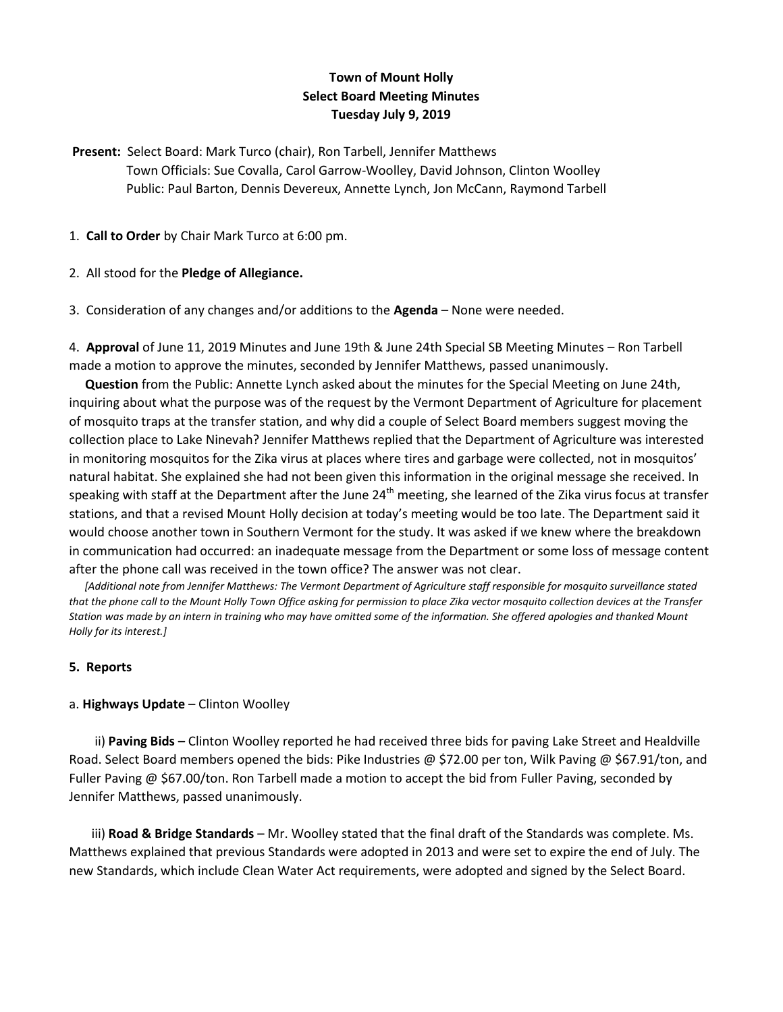# **Town of Mount Holly Select Board Meeting Minutes Tuesday July 9, 2019**

**Present:** Select Board: Mark Turco (chair), Ron Tarbell, Jennifer Matthews Town Officials: Sue Covalla, Carol Garrow-Woolley, David Johnson, Clinton Woolley Public: Paul Barton, Dennis Devereux, Annette Lynch, Jon McCann, Raymond Tarbell

1. **Call to Order** by Chair Mark Turco at 6:00 pm.

2. All stood for the **Pledge of Allegiance.**

3. Consideration of any changes and/or additions to the **Agenda** – None were needed.

4. **Approval** of June 11, 2019 Minutes and June 19th & June 24th Special SB Meeting Minutes – Ron Tarbell made a motion to approve the minutes, seconded by Jennifer Matthews, passed unanimously.

 **Question** from the Public: Annette Lynch asked about the minutes for the Special Meeting on June 24th, inquiring about what the purpose was of the request by the Vermont Department of Agriculture for placement of mosquito traps at the transfer station, and why did a couple of Select Board members suggest moving the collection place to Lake Ninevah? Jennifer Matthews replied that the Department of Agriculture was interested in monitoring mosquitos for the Zika virus at places where tires and garbage were collected, not in mosquitos' natural habitat. She explained she had not been given this information in the original message she received. In speaking with staff at the Department after the June  $24<sup>th</sup>$  meeting, she learned of the Zika virus focus at transfer stations, and that a revised Mount Holly decision at today's meeting would be too late. The Department said it would choose another town in Southern Vermont for the study. It was asked if we knew where the breakdown in communication had occurred: an inadequate message from the Department or some loss of message content after the phone call was received in the town office? The answer was not clear.

 *[Additional note from Jennifer Matthews: The Vermont Department of Agriculture staff responsible for mosquito surveillance stated that the phone call to the Mount Holly Town Office asking for permission to place Zika vector mosquito collection devices at the Transfer Station was made by an intern in training who may have omitted some of the information. She offered apologies and thanked Mount Holly for its interest.]* 

### **5. Reports**

### a. **Highways Update** – Clinton Woolley

 ii) **Paving Bids –** Clinton Woolley reported he had received three bids for paving Lake Street and Healdville Road. Select Board members opened the bids: Pike Industries @ \$72.00 per ton, Wilk Paving @ \$67.91/ton, and Fuller Paving @ \$67.00/ton. Ron Tarbell made a motion to accept the bid from Fuller Paving, seconded by Jennifer Matthews, passed unanimously.

 iii) **Road & Bridge Standards** – Mr. Woolley stated that the final draft of the Standards was complete. Ms. Matthews explained that previous Standards were adopted in 2013 and were set to expire the end of July. The new Standards, which include Clean Water Act requirements, were adopted and signed by the Select Board.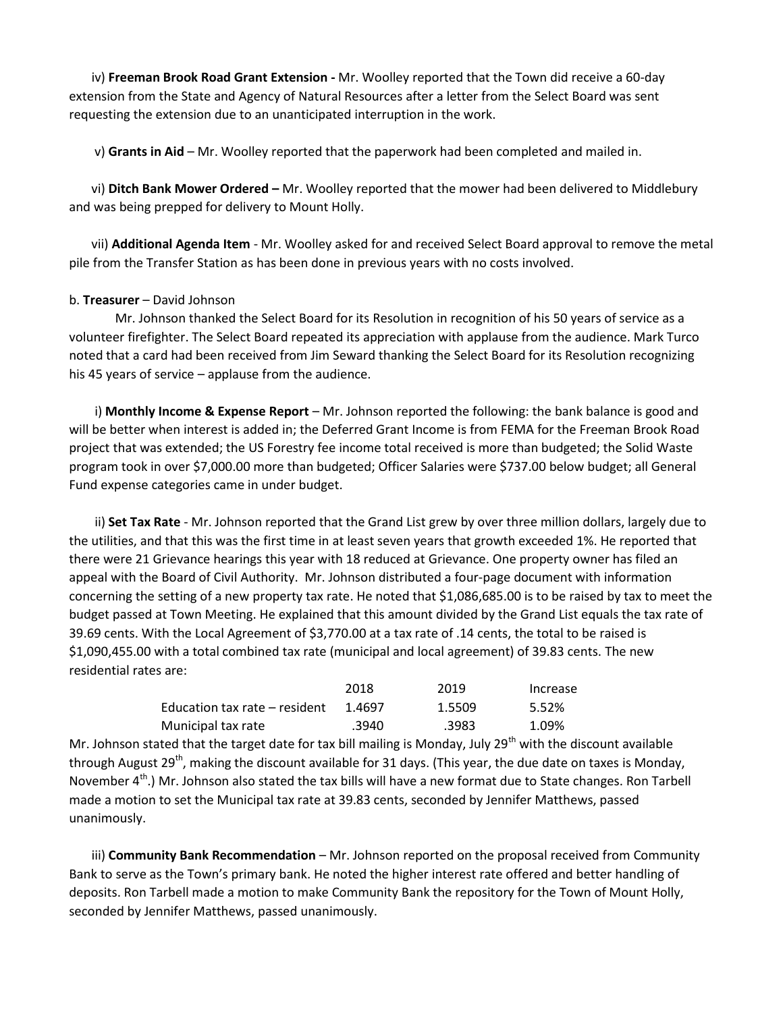iv) **Freeman Brook Road Grant Extension -** Mr. Woolley reported that the Town did receive a 60-day extension from the State and Agency of Natural Resources after a letter from the Select Board was sent requesting the extension due to an unanticipated interruption in the work.

v) **Grants in Aid** – Mr. Woolley reported that the paperwork had been completed and mailed in.

 vi) **Ditch Bank Mower Ordered –** Mr. Woolley reported that the mower had been delivered to Middlebury and was being prepped for delivery to Mount Holly.

 vii) **Additional Agenda Item** - Mr. Woolley asked for and received Select Board approval to remove the metal pile from the Transfer Station as has been done in previous years with no costs involved.

#### b. **Treasurer** – David Johnson

Mr. Johnson thanked the Select Board for its Resolution in recognition of his 50 years of service as a volunteer firefighter. The Select Board repeated its appreciation with applause from the audience. Mark Turco noted that a card had been received from Jim Seward thanking the Select Board for its Resolution recognizing his 45 years of service – applause from the audience.

 i) **Monthly Income & Expense Report** – Mr. Johnson reported the following: the bank balance is good and will be better when interest is added in; the Deferred Grant Income is from FEMA for the Freeman Brook Road project that was extended; the US Forestry fee income total received is more than budgeted; the Solid Waste program took in over \$7,000.00 more than budgeted; Officer Salaries were \$737.00 below budget; all General Fund expense categories came in under budget.

 ii) **Set Tax Rate** - Mr. Johnson reported that the Grand List grew by over three million dollars, largely due to the utilities, and that this was the first time in at least seven years that growth exceeded 1%. He reported that there were 21 Grievance hearings this year with 18 reduced at Grievance. One property owner has filed an appeal with the Board of Civil Authority. Mr. Johnson distributed a four-page document with information concerning the setting of a new property tax rate. He noted that \$1,086,685.00 is to be raised by tax to meet the budget passed at Town Meeting. He explained that this amount divided by the Grand List equals the tax rate of 39.69 cents. With the Local Agreement of \$3,770.00 at a tax rate of .14 cents, the total to be raised is \$1,090,455.00 with a total combined tax rate (municipal and local agreement) of 39.83 cents. The new residential rates are:

|                               | 2018   | 2019   | Increase |
|-------------------------------|--------|--------|----------|
| Education tax rate – resident | 1.4697 | 1.5509 | 5.52%    |
| Municipal tax rate            | .3940  | .3983  | 1.09%    |

Mr. Johnson stated that the target date for tax bill mailing is Monday, July 29<sup>th</sup> with the discount available through August 29<sup>th</sup>, making the discount available for 31 days. (This year, the due date on taxes is Monday, November 4<sup>th</sup>.) Mr. Johnson also stated the tax bills will have a new format due to State changes. Ron Tarbell made a motion to set the Municipal tax rate at 39.83 cents, seconded by Jennifer Matthews, passed unanimously.

 iii) **Community Bank Recommendation** – Mr. Johnson reported on the proposal received from Community Bank to serve as the Town's primary bank. He noted the higher interest rate offered and better handling of deposits. Ron Tarbell made a motion to make Community Bank the repository for the Town of Mount Holly, seconded by Jennifer Matthews, passed unanimously.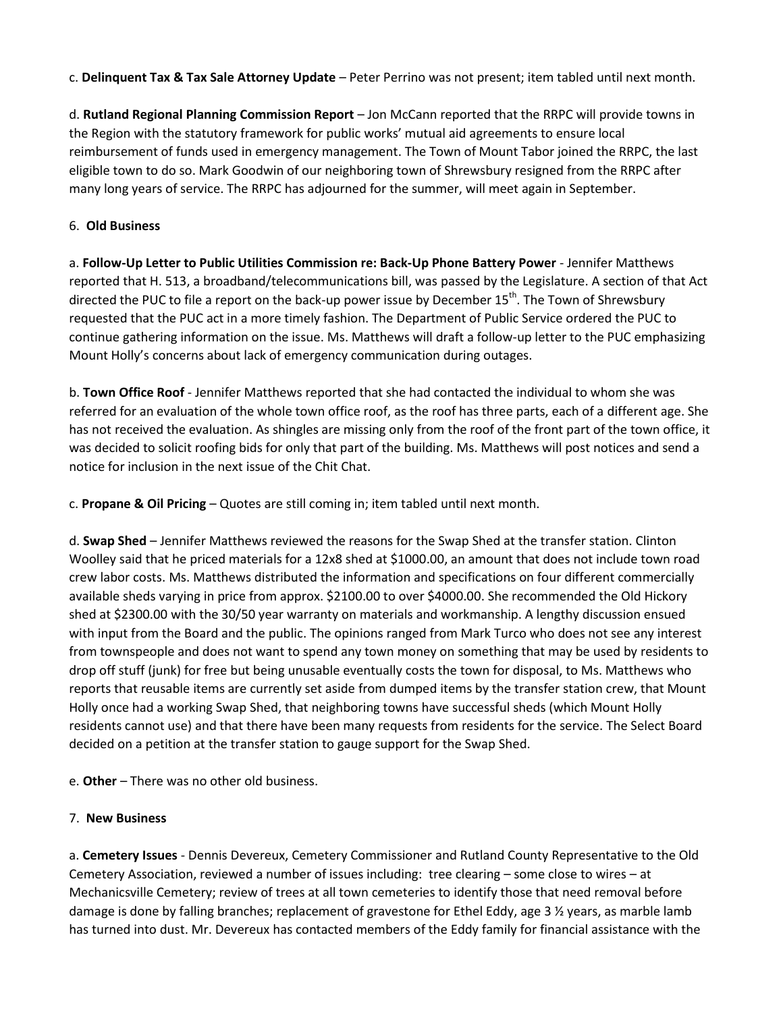c. **Delinquent Tax & Tax Sale Attorney Update** – Peter Perrino was not present; item tabled until next month.

d. **Rutland Regional Planning Commission Report** – Jon McCann reported that the RRPC will provide towns in the Region with the statutory framework for public works' mutual aid agreements to ensure local reimbursement of funds used in emergency management. The Town of Mount Tabor joined the RRPC, the last eligible town to do so. Mark Goodwin of our neighboring town of Shrewsbury resigned from the RRPC after many long years of service. The RRPC has adjourned for the summer, will meet again in September.

## 6. **Old Business**

a. **Follow-Up Letter to Public Utilities Commission re: Back-Up Phone Battery Power** - Jennifer Matthews reported that H. 513, a broadband/telecommunications bill, was passed by the Legislature. A section of that Act directed the PUC to file a report on the back-up power issue by December 15<sup>th</sup>. The Town of Shrewsbury requested that the PUC act in a more timely fashion. The Department of Public Service ordered the PUC to continue gathering information on the issue. Ms. Matthews will draft a follow-up letter to the PUC emphasizing Mount Holly's concerns about lack of emergency communication during outages.

b. **Town Office Roof** - Jennifer Matthews reported that she had contacted the individual to whom she was referred for an evaluation of the whole town office roof, as the roof has three parts, each of a different age. She has not received the evaluation. As shingles are missing only from the roof of the front part of the town office, it was decided to solicit roofing bids for only that part of the building. Ms. Matthews will post notices and send a notice for inclusion in the next issue of the Chit Chat.

c. **Propane & Oil Pricing** – Quotes are still coming in; item tabled until next month.

d. **Swap Shed** – Jennifer Matthews reviewed the reasons for the Swap Shed at the transfer station. Clinton Woolley said that he priced materials for a 12x8 shed at \$1000.00, an amount that does not include town road crew labor costs. Ms. Matthews distributed the information and specifications on four different commercially available sheds varying in price from approx. \$2100.00 to over \$4000.00. She recommended the Old Hickory shed at \$2300.00 with the 30/50 year warranty on materials and workmanship. A lengthy discussion ensued with input from the Board and the public. The opinions ranged from Mark Turco who does not see any interest from townspeople and does not want to spend any town money on something that may be used by residents to drop off stuff (junk) for free but being unusable eventually costs the town for disposal, to Ms. Matthews who reports that reusable items are currently set aside from dumped items by the transfer station crew, that Mount Holly once had a working Swap Shed, that neighboring towns have successful sheds (which Mount Holly residents cannot use) and that there have been many requests from residents for the service. The Select Board decided on a petition at the transfer station to gauge support for the Swap Shed.

e. **Other** – There was no other old business.

## 7. **New Business**

a. **Cemetery Issues** - Dennis Devereux, Cemetery Commissioner and Rutland County Representative to the Old Cemetery Association, reviewed a number of issues including: tree clearing – some close to wires – at Mechanicsville Cemetery; review of trees at all town cemeteries to identify those that need removal before damage is done by falling branches; replacement of gravestone for Ethel Eddy, age 3 ½ years, as marble lamb has turned into dust. Mr. Devereux has contacted members of the Eddy family for financial assistance with the